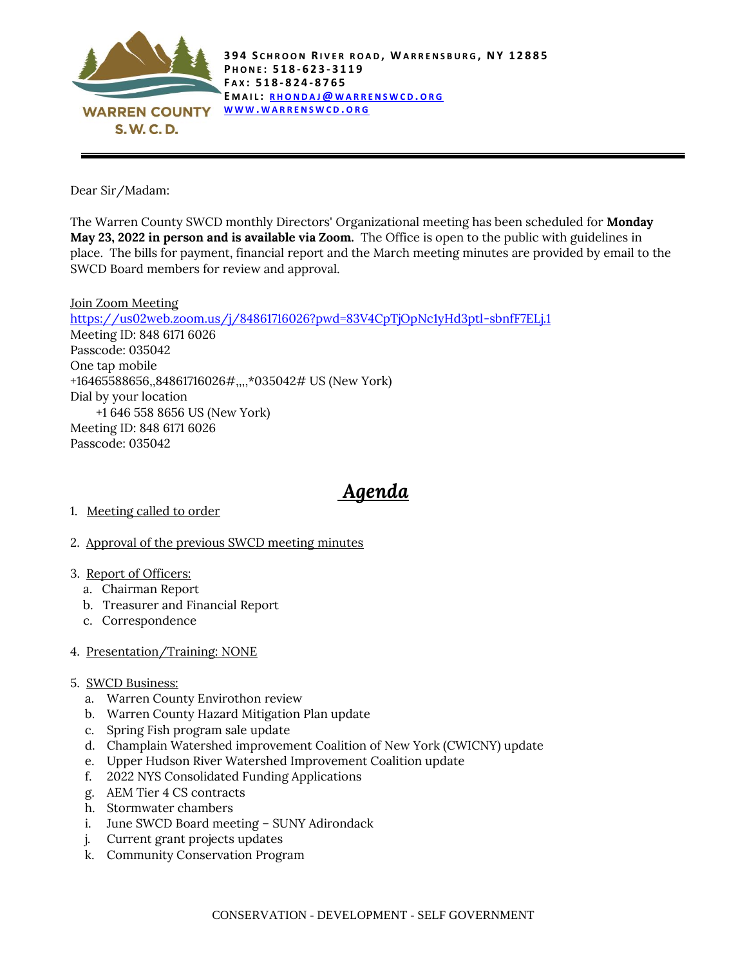

Dear Sir/Madam:

The Warren County SWCD monthly Directors' Organizational meeting has been scheduled for **Monday May 23, 2022 in person and is available via Zoom.** The Office is open to the public with guidelines in place. The bills for payment, financial report and the March meeting minutes are provided by email to the SWCD Board members for review and approval.

Join Zoom Meeting <https://us02web.zoom.us/j/84861716026?pwd=83V4CpTjOpNc1yHd3ptl-sbnfF7ELj.1> Meeting ID: 848 6171 6026 Passcode: 035042 One tap mobile +16465588656,,84861716026#,,,,\*035042# US (New York) Dial by your location +1 646 558 8656 US (New York) Meeting ID: 848 6171 6026 Passcode: 035042

## *Agenda*

- 1. Meeting called to order
- 2. Approval of the previous SWCD meeting minutes
- 3. Report of Officers:
	- a. Chairman Report
	- b. Treasurer and Financial Report
	- c. Correspondence
- 4. Presentation/Training: NONE
- 5. SWCD Business:
	- a. Warren County Envirothon review
	- b. Warren County Hazard Mitigation Plan update
	- c. Spring Fish program sale update
	- d. Champlain Watershed improvement Coalition of New York (CWICNY) update
	- e. Upper Hudson River Watershed Improvement Coalition update
	- f. 2022 NYS Consolidated Funding Applications
	- g. AEM Tier 4 CS contracts
	- h. Stormwater chambers
	- i. June SWCD Board meeting SUNY Adirondack
	- j. Current grant projects updates
	- k. Community Conservation Program